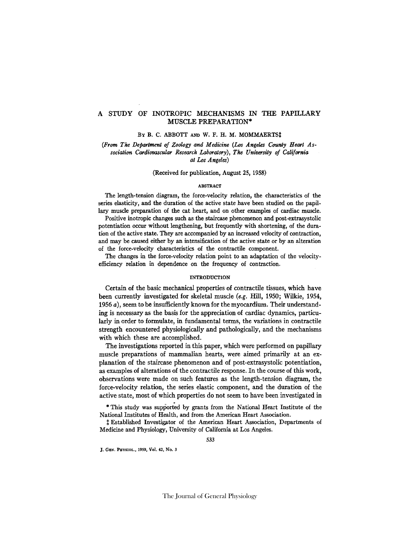## A STUDY OF INOTROPIC MECHANISMS IN THE PAPILLARY MUSCLE PREPARATION\*

### BY B. C. ABBOTT AND W. F. H. M. MOMMAERTSİ

## (From The Department of Zoology and Medicine (Los Angeles County Heart As*sociation Cardiovascular Research Laboralory), The University of California at Los Angeles)*

### (Received for publication, August 25, 1958)

#### **ABSTRACT**

The length-tension diagram, the force-velocity relation, the characteristics of the series elasticity, and the duration of the active state have been studied on the papillary muscle preparation of the cat heart, and on other examples of cardiac muscle.

Positive inotropic changes such as the staircase phenomenon and post-extrasystolic potentiation occur without lengthening, but frequently with shortening, of the duration of the active state. They are accompanied by an increased velocity of contraction, and may be caused either by an intensification of the active state or by an alteration of the force-velocity characteristics of the contractile component.

The changes in the force-velocity relation point to an adaptation of the velocityefficiency relation in dependence on the frequency of contraction.

## **INTRODUCTION**

Certain of the basic mechanical properties of contractile tissues, which have been currently investigated for skeletal muscle *(e.g.* Hill, 1950; Wilkie, 1954, 1956 *a),* seem to be insufficiently known for the myocardium. Their understanding is necessary as the basis for the appreciation of cardiac dynamics, particularly in order to formulate, in fundamental terms, the variations in contractile strength encountered physiologically and pathologically, and the mechanisms with which these are accomplished.

The investigations reported in this paper, which were performed on papillary muscle preparations of mammalian hearts, were aimed primarily at an explanation of the staircase phenomenon and of post-extrasystolic potentiation, as examples of alterations of the contractile response. In the course of this work, observations were made on such features as the length-tension diagram, the force-velocity relation, the series elastic component, and the duration of the active state, most of which properties do not seem to have been investigated in

\* This study was supported by grants from the National Heart Institute of the National Institutes of Health, and from the American Heart Association.

~; Established Investigator of the American Heart Association, Departments of Medicine and Physiology, University of California at Los Angeles.

J. GEN. PHYSXOL., 1959, *Vot,* 42, No. 3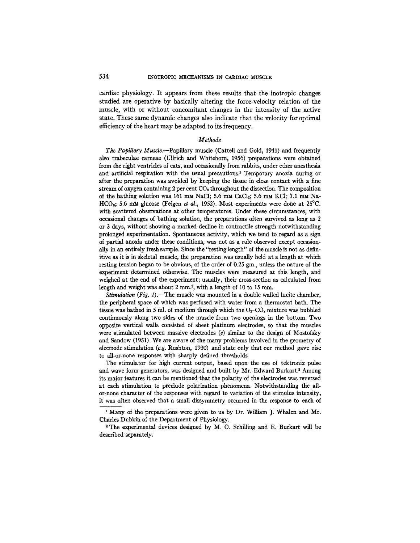cardiac physiology. It appears from these results that the inotropic changes studied are operative by basically altering the force-velocity relation of the muscle, with or without concomitant changes in the intensity of the active state. These same dynamic changes also indicate that the velocity for optimal efficiency of the heart may be adapted to its frequency.

### *Methods*

*The Papillary Muscle.--PapiUary* muscle (Cattell and Gold, 1941) and frequently also trabeculae carneae (Ullrich and Whitehorn, 1956) preparations were obtained from the right ventricles of cats, and occasionally from rabbits, under ether anesthesia and artificial respiration with the usual precautions.<sup>1</sup> Temporary anoxia during or after the preparation was avoided by keeping the tissue in dose contact with a fine stream of oxygen containing 2 per cent  $CO<sub>2</sub>$  throughout the dissection. The composition of the bathing solution was 161 mm NaCl; 5.6 mm CaCl<sub>2</sub>; 5.6 mm KCl; 7.1 mm Na-HCO<sub>s</sub>; 5.6 mM glucose (Feigen et al., 1952). Most experiments were done at 25°C. with scattered observations at other temperatures. Under these circumstances, with occasional changes of bathing solution, the preparations often survived as long as 2 or 3 days, without showing a marked decline in contractile strength notwithstanding prolonged experimentation. Spontaneous activity, which we tend to regard as a sign of partial anoxia under these conditions, was not as a rule observed except occasionally in an entirely fresh sample. Since the "resting length" of the muscle is not as definitive as it is in skeletal muscle, the preparation was usually held at a length at which resting tension began to be obvious, of the order of  $0.25$  gm., unless the nature of the experiment determined otherwise. The muscles were measured at this length, and weighed at the end of the experiment; usually, their cross-section as calculated from length and weight was about 2 mm.<sup>2</sup>, with a length of 10 to 15 mm.

*Stimulation (Fig. 1).*—The muscle was mounted in a double walled lucite chamber, the peripheral space of which was perfused with water from a thermostat bath. The tissue was bathed in 5 ml. of medium through which the  $O<sub>2</sub>-CO<sub>2</sub>$  mixture was bubbled continuously along two sides of the musde from two openings in the bottom. Two opposite vertical walls consisted of sheet platinum electrodes, so that the muscles were stimulated between massive electrodes  $(e)$  similar to the design of Mostofsky and Sandow (1951). We are aware of the many problems involved in the geometry of electrode stimulation *(e.g.* Rushton, 1930) and state only that our method gave rise to all-or-none responses with sharply defined thresholds.

The stimulator for high current output, based upon the use of tektronix pulse and wave form generators, was designed and built by Mr. Edward Burkart.<sup>2</sup> Among its major features it can be mentioned that the polarity of the electrodes was reversed at each stimulation to preclude polarization phenomena. Notwithstanding the allor-none character of the responses with regard to variation of the stimulus intensity, it was often observed that a small dissymmetry occurred in the response to each of

<sup>1</sup> Many of the preparations were given to us by Dr. William J. Whalen and Mr. Charles Dubkin of the Department of Physiology.

The experimental devices designed by M. O. Schilling and E. Burkart will be described separately.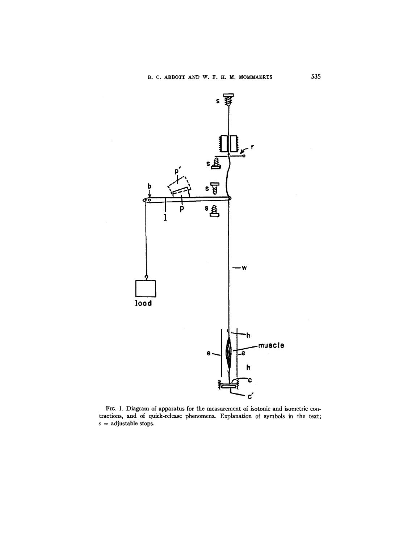

FIG. 1. Diagram of apparatus for the measurement of isotonic and isometric contractions, and of quick-release phenomena. Explanation of symbols in the text;  $s =$  adjustable stops.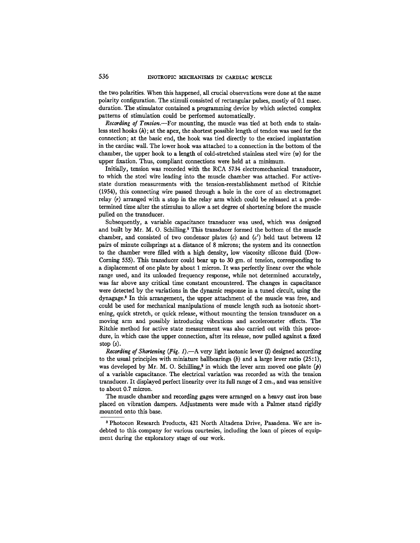the two polarities. When this happened, all crucial observations were done at the same polarity configuration. The stimuli consisted of rectangular pulses, mostly of 0.1 msec. duration. The stimulator contained a programming device by which selected complex patterns of stimulation could be performed automatically.

*Recording of Tenslon.--For* mounting, the musde was tied at both ends to stainless steel hooks  $(h)$ ; at the apex, the shortest possible length of tendon was used for the connection; at the basic end, the hook was tied directly to the excised implantation in the cardiac wall. The lower hook was attached to a connection in the bottom of the chamber, the upper hook to a length of cold-stretched stainless steel wire (w) for the upper fixation. Thus, compliant connections were held at a minimum.

Initially, tension was recorded with the RCA 5734 electromechanical transducer, to which the steel wire leading into the muscle chamber was attached. For activestate duration measurements with the tension-reestablishment method of Ritchie (1954), this connecting wire passed through a hole in the core of an electromagnet relay  $(r)$  arranged with a stop in the relay arm which could be released at a predetermined time after the stimulus to allow a set degree of shortening before the muscle pulled on the transducer.

Subsequently, a variable capacitance transducer was used, which was designed and built by Mr. M. O. Schilling.<sup>2</sup> This transducer formed the bottom of the muscle chamber, and consisted of two condensor plates  $(c)$  and  $(c')$  held taut between 12 pairs of minute coilsprings at a distance of 8 microns; the system and its connection to the chamber were filled with a high density, low viscosity silicone fluid (Dow-Corning 555). This transducer could bear up to 30 gm. of tension, corresponding to a displacement of one plate by about 1 micron. It was perfectly linear over the whole range used, and its unloaded frequency response, while not determined accurately, was far above any critical time constant encountered. The changes in capacitance were detected by the variations in the dynamic response in a tuned circuit, using the dynagage.<sup>3</sup> In this arrangement, the upper attachment of the muscle was free, and could be used for mechanical manipulations of muscle length such as isotonic shortening, quick stretch, or quick release, without mounting the tension transducer on a moving arm and possibly introducing vibrations and accelerometer effects. The Ritchie method for active state measurement was also carried out with this procedure, in which case the upper connection, after its release, now pulled against a fixed stop (s).

*Recording of Shortening (Fig. 1).*--A very light isotonic lever (l) designed according to the usual principles with miniature ballbearings  $(b)$  and a large lever ratio  $(25:1)$ , was developed by Mr. M. O. Schilling,<sup>2</sup> in which the lever arm moved one plate  $(p)$ of a variable capacitance. The electrical variation was recorded as with the tension transducer. It displayed perfect linearity over its full range of 2 cm., and was sensitive to about 0.7 micron.

The muscle chamber and recording gages were arranged on a heavy cast iron base placed on vibration dampers. Adjustments were made with a Palmer stand rigidly mounted onto this base.

s Photocon Research Products, 421 North Altadena Drive, Pasadena. We are indebted to this company for various courtesies, including the loan of pieces of equipment during the exploratory stage of our work.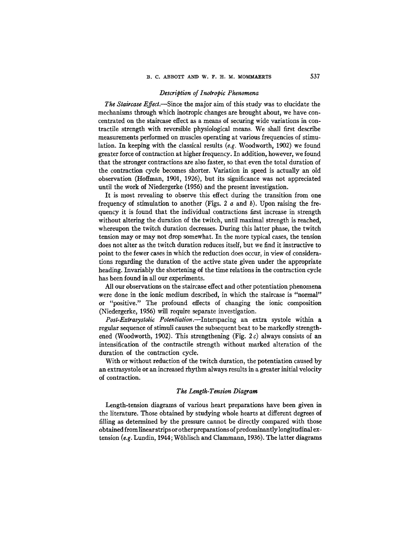### *Description of Inotropic Phenomena*

*The Staircase Effect.--Since* the major aim of this study was to elucidate the mechanisms through which inotropic changes are brought about, we have concentrated on the staircase effect as a means of securing wide variations in contractile strength with reversible physiological means. We shall first describe measurements performed on muscles operating at various frequencies of stimulation. In keeping with the classical results *(e.g.* Woodworth, 1902) we found greater force of contraction at higher frequency. In addition, however, we found that the stronger contractions are also faster, so that even the total duration of the contraction cycle becomes shorter. Variation in speed is actually an old observation (Hoffman, 1901, 1926), but its significance was not appreciated until the work of Niedergerke (1956) and the present investigation.

It is most revealing to observe this effect during the transition from one frequency of stimulation to another (Figs. 2  $a$  and  $b$ ). Upon raising the frequency it is found that the individual contractions first increase in strength without altering the duration of the twitch, until maximal strength is reached, whereupon the twitch duration decreases. During this latter phase, the twitch tension may or may not drop somewhat. In the more typical cases, the tension does not alter as the twitch duration reduces itself, but we find it instructive to point to the fewer cases in which the reduction does occur, in view of considerations regarding the duration of the active state given under the appropriate heading. Invariably the shortening of the time relations in the contraction cycle has been found in all our experiments.

All our observations on the staircase effect and other potentiation phenomena were done in the ionic medium described, in which the staircase is "normal" or "positive." The profound effects of changing the ionic composition (Niedergerke, 1956) will require separate investigation.

*Post-Extrasystolic Potentiation.--Interspacing* an extra systole within a regular sequence of stimuli causes the subsequent beat to be markedly strengthened (Woodworth, 1902). This strengthening (Fig.  $2 c$ ) always consists of an intensification of the contractile strength without marked alteration of the duration of the contraction cycle.

With or without reduction of the twitch duration, the potentiation caused by an extrasystole or an increased rhythm always results in a greater initial velocity of contraction.

### *The Length-Tension Diagram*

Length-tension diagrams of various heart preparations have been given in the literature. Those obtained by studying whole hearts at different degrees of filling as determined by the pressure cannot be directly compared with those obtained from linear strips or other preparations of predominantly longitudinal extension (e.g. Lundin, 1944; W6hlisch and Clammann, 1936). The latter diagrams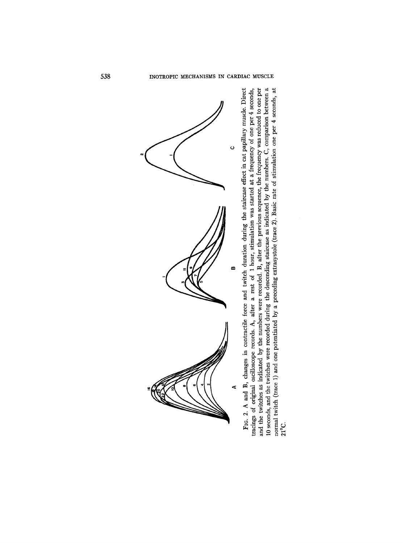

"~ C m ទី ៥ **• 5 ~: =: . C'~ ~ ~ ~**   $^{\rm rec}_{\rm ter}$ **• ~. ~ ~**   $\begin{array}{c}\n\text{call} \\
\text{oscill} \\
\text{indict} \\
\text{in} \\
\text{int} \\
\text{in} \\
\text{int}\n\end{array}$  $.~$   $\sigma$   $\sim$   $\sigma$   $\sim$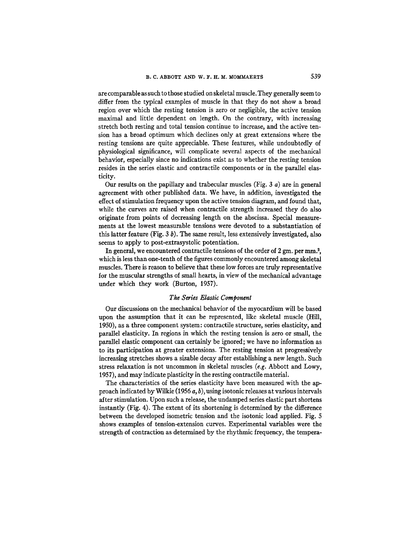are comparable as such to those studied on skeletal muscle. They generally seem to differ from the typical examples of muscle in that they do not show a broad region over which the resting tension is zero or negligible, the active tension maximal and little dependent on length. On the contrary, with increasing stretch both resting and total tension continue to increase, and the active tension has a broad optimum which declines only at great extensions where the resting tensions are quite appreciable. These features, while undoubtedly of physiological significance, will complicate several aspects of the mechanical behavior, especially since no indications exist as to whether the resting tension resides in the series elastic and contractile components or in the parallel elasticity.

Our results on the papillary and trabecular muscles (Fig.  $3a$ ) are in general agreement with other published data. We have, in addition, investigated the effect of stimulation frequency upon the active tension diagram, and found that, while the curves are raised when contractile strength increased they do also originate from points of decreasing length on the abscissa. Special measurements at the lowest measurable tensions were devoted to a substantiation of this latter feature (Fig.  $3 b$ ). The same result, less extensively investigated, also seems to apply to post-extrasystolic potentiation.

In general, we encountered contractile tensions of the order of  $2 \text{ gm}$ , per mm.<sup>2</sup>, which is less than one-tenth of the figures commonly encountered among skeletal muscles. There is reason to believe that these low forces are truly representative for the muscular strengths of small hearts, in view of the mechanical advantage under which they work (Burton, 1957).

## *The Series Elastic Component*

Our discussions on the mechanical behavior of the myocardium will be based upon the assumption that it can be represented, like skeletal muscle (Hill, 1950), as a three component system: contractile structure, series elasticity, and parallel elasticity. In regions in which the resting tension is zero or small, the parallel elastic component can certainly be ignored; we have no information as to its participation at greater extensions. The resting tension at progressively increasing stretches shows a sizable decay after establishing a new length. Such stress relaxation is not uncommon in skeletal muscles *(e.g.* Abbott and Lowy, 1957), and may indicate plasticity in the resting contractile material.

The characteristics of the series elasticity have been measured with the approach indicated by Wilkie (1956  $a, b$ ), using isotonic releases at various intervals after stimulation. Upon such a release, the undamped series elastic part shortens instantly (Fig. 4). The extent of its shortening is determined by the difference between the developed isometric tension and the isotonic load applied. Fig. 5 shows examples of tension-extension curves. Experimental variables were the strength of contraction as determined by the rhythmic frequency, the tempera-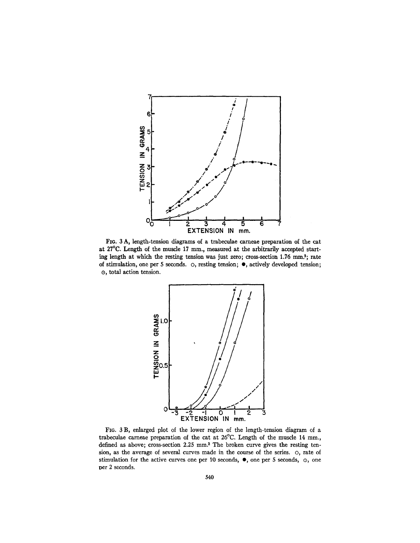

Fro. 3 A, length-tension diagrams of a trabeculae carneae preparation of the cat at 27°C. Length of the muscle 17 mm., measured at the arbitrarily accepted starting length at which the resting tension was just zero; cross-section 1.76 mm.<sup>2</sup>; rate of stimulation, one per 5 seconds, o, resting tension; e, actively developed tension; ®, total action tension.



FIG. 3 B, enlarged plot of the lower region of the length-tension diagram of a trabeculae cameae preparation of the cat at 26°C. Length of the muscle 14 mm., defined as above; cross-section 2.25 mm.<sup>2</sup> The broken curve gives the resting tension, as the average of several curves made in the course of the series, o, rate of stimulation for the active curves one per 10 seconds,  $\bullet$ , one per 5 seconds,  $\circ$ , one per 2 seconds.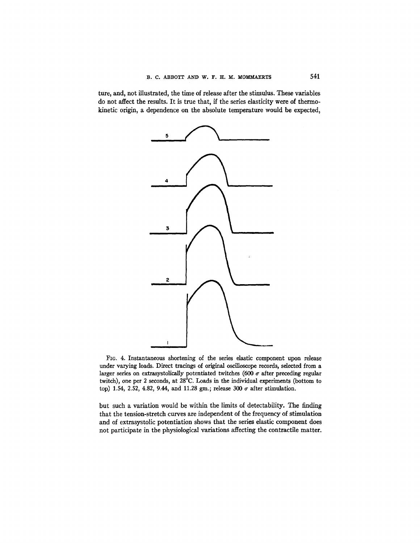ture, and, not illustrated, the time of release after the stimulus. These variables do not affect the results. It is true that, if the series elasticity were of thermokinetic origin, a dependence on the absolute temperature would be expected,



FIG. 4. Instantaneous shortening of the series elastic component upon release under varying loads. Direct tracings of original oscilloscope records, sdected from a larger series on extrasystolically potentiated twitches (600  $\sigma$  after preceding regular twitch), one per 2 seconds, at 28°C. Loads in the individual experiments (bottom to top) 1.54, 2.52, 4.82, 9.44, and 11.28 gm.; release 300  $\sigma$  after stimulation.

but such a variation would be within the limits of detectability. The finding that the tension-stretch curves are independent of the frequency of stimulation and of extrasystolic potentiation shows that the series elastic component does not participate in the physiological variations affecting the contractile matter.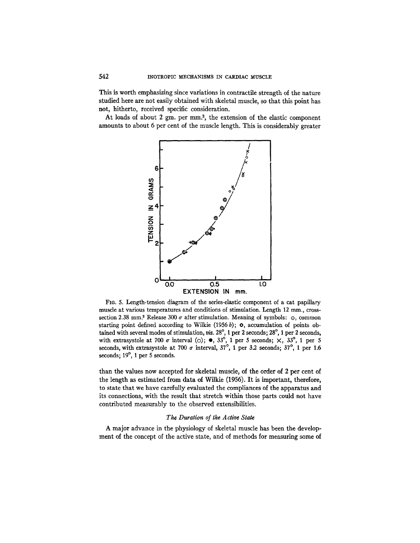This is worth emphasizing since variations in contractile strength of the nature studied here are not easily obtained with skeletal muscle, so that this point has not, hitherto, received specific consideration.

At loads of about 2 gm. per mm.<sup>2</sup>, the extension of the elastic component amounts to about 6 per cent of the muscle length. This is considerably greater



FIG. 5. Length-tension diagram of the series-elastic component of a cat papillary muscle at various temperatures and conditions of stimulation. Length 12 mm., crosssection 2.38 mm.<sup>2</sup> Release 300  $\sigma$  after stimulation. Meaning of symbols:  $\odot$ , common starting point defined according to Wilkie (1956 b);  $\circ$ , accumulation of points obtained with several modes of stimulation,  $\dot{w}z$ . 28°, 1 per 2 seconds; 28°, 1 per 2 seconds, with extrasystole at 700  $\sigma$  interval (o);  $\bullet$ , 33<sup>°</sup>, 1 per 5 seconds;  $\times$ , 33<sup>°</sup>, 1 per 5 seconds, with extrasystole at 700  $\sigma$  interval, 37<sup>°</sup>, 1 per 3.2 seconds; 37<sup>°</sup>, 1 per 1.6 seconds; 19°, 1 per 5 seconds.

than the values now accepted for skeletal muscle, of the order of 2 per cent of the length as estimated from data of Wilkie (1956). It is important, therefore, to state that we have carefully evaluated the compliances of the apparatus and its connections, with the result that stretch within those parts could not have contributed measurably to the observed extensibilities.

### *The Duration of the Active State*

A major advance in the physiology of skeletal muscle has been the development of the concept of the active state, and of methods for measuring some of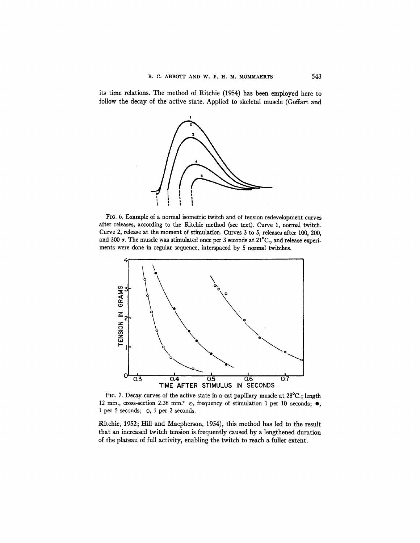its time relations. The method of Ritchie (1954) has been employed here to follow the decay of the active state. Applied to skeletal muscle (Goffart and



Fro. 6. Example of a normal isometric twitch and of tension redevelopment curves after releases, according to the Ritchie method (see text). Curve 1, normal twitch. Curve 2, rdease at the moment of stimulation. Curves 3 to 5, releases after 100, 200, and 300  $\sigma$ . The muscle was stimulated once per 3 seconds at 21°C., and release experiments were done in regular sequence, interspaced by 5 normal twitches.



FIG. 7. Decay curves of the active state in a cat papillary musde at 28°C.; length 12 mm., cross-section 2.38 mm.<sup>2</sup>  $\odot$ , frequency of stimulation 1 per 10 seconds;  $\bullet$ , 1 per 5 seconds; o, 1 per 2 seconds.

Ritchie, 1952; Hill and Macpherson, 1954), this method has led to the result that an increased twitch tension is frequently caused by a lengthened duration of the plateau of full activity, enabling the twitch to reach a fuller extent.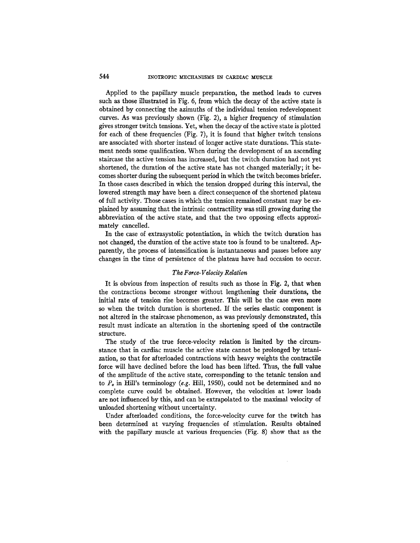## 544 INOTROPIC MECHANISMS IN CARDIAC MUSCLE

Applied to the papillary muscle preparation, the method leads to curves such as those illustrated in Fig. 6, from which the decay of the active state is obtained by connecting the azimuths of the individual tension redevelopment curves. As was previously shown (Fig. 2), a higher frequency of stimulation gives stronger twitch tensions. Yet, when the decay of the active state is plotted for each of these frequencies (Fig. 7), it is found that higher twitch tensions are associated with shorter instead of longer active state durations. This statement needs some qualification. When during the development of an ascending staircase the active tension has increased, but the twitch duration had not yet shortened, the duration of the active state has not changed materially; it becomes shorter during the subsequent period in which the twitch becomes briefer. In those cases described in which the tension dropped during this interval, the lowered strength may have been a direct consequence of the shortened plateau of full activity. Those cases in which the tension remained constant may be explained by assuming that the intrinsic contractility was still growing during the abbreviation of the active state, and that the two opposing effects approximately cancelled.

In the case of extrasystolic potentiation, in which the twitch duration has not changed, the duration of the active state too is found to be unaltered. Apparently, the process of intensification is instantaneous and passes before any changes in the time of persistence of the plateau have had occasion to occur.

### *The Force-Velocity Relation*

It is obvious from inspection of results such as those in Fig. 2, that when the contractions become stronger without lengthening their durations, the initial rate of tension rise becomes greater. This will be the case even more so when the twitch duration is shortened. If the series elastic component is not altered in the staircase phenomenon, as was previously demonstrated, this result must indicate an alteration in the shortening speed of the contractile structure.

The study of the true force-velocity relation is limited by the circumstance that in cardiac muscle the active state cannot be prolonged by tetanization, so that for afterloaded contractions with heavy weights the contractile force will have declined before the load has been lifted. Thus, the full value of the amplitude of the active state, corresponding to the tetanic tension and to *Po* in Hill's terminology *(e.g.* Hill, 1950), could not be determined and no complete curve could be obtained. However, the velocities at lower loads are not influenced by this, and can be extrapolated to the maximal velocity of unloaded shortening without uncertainty.

Under afterloaded conditions, the force-velocity curve for the twitch has been determined at varying frequencies of stimulation. Results obtained with the papillary muscle at various frequencies (Fig. 8) show that as the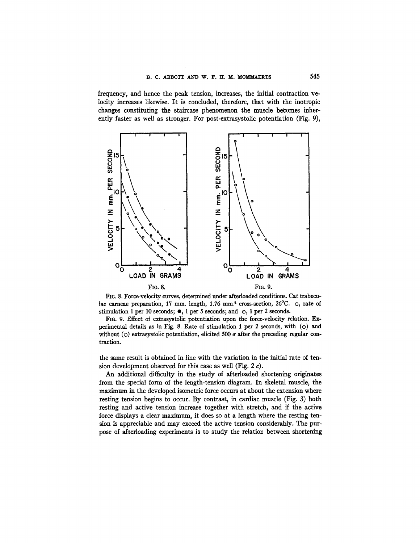frequency, and hence the peak tension, increases, the initial contraction velocity increases likewise. It is concluded, therefore, that with the inotropic changes constituting the staircase phenomenon the muscle becomes inherently faster as well as stronger. For post-extrasystolic potentiation (Fig. 9),



FIG. 8. Force-velocity curves, determined under afterloaded conditions. Cat trabecu lae carneae preparation, 17 mm. length, 1.76 mm.<sup>2</sup> cross-section, 26°C. o, rate of stimulation 1 per 10 seconds;  $\bullet$ , 1 per 5 seconds; and  $\odot$ , 1 per 2 seconds.

FIG. 9. Effect of extrasystolic potentiation upon the force-velocity relation. Experimental details as in Fig. 8. Rate of stimulation 1 per 2 seconds, with  $\circ$  and without ( $\circ$ ) extrasystolic potentiation, elicited 500  $\sigma$  after the preceding regular contraction.

the same result is obtained in line with the variation in the initial rate of tension development observed for this case as well (Fig. 2 $c$ ).

An additional difficulty in the study of afterloaded shortening originates from the special form of the length-tension diagram. In skeletal muscle, the maximum in the developed isometric force occurs at about the extension where resting tension begins to occur. By contrast, in cardiac muscle (Fig. 3) both resting and active tension increase together with stretch, and if the active force displays a clear maximum, it does so at a length where the resting tension is appreciable and may exceed the active tension considerably. The purpose of afterloading experiments is to study the relation between shortening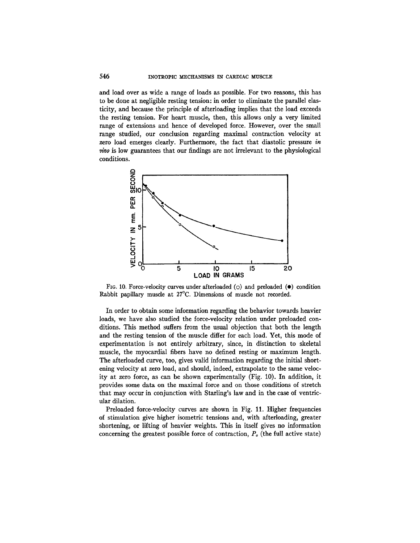### 546 INOTROPIC MECHANISMS IN CARDIAC MUSCLE

and load over as wide a range of loads as possible. For two reasons, this has to be done at negligible resting tension: in order to eliminate the parallel elasticity, and because the principle of afterloading implies that the load exceeds the resting tension. For heart muscle, then, this allows only a very limited range of extensions and hence of developed force. However, over the small range studied, our conclusion regarding maximal contraction velocity at zero load emerges clearly. Furthermore, the fact that diastolic pressure *in vivo* is low guarantees that our findings are not irrelevant to the physiological conditions.



FIG. 10. Force-velocity curves under afterloaded (o) and preloaded ( $\bullet$ ) condition Rabbit papillary muscle at 27°C. Dimensions of muscle not recorded.

In order to obtain some information regarding the behavior towards heavier loads, we have also studied the force-velocity relation under preloaded conditions. This method suffers from the usual objection that both the length and the resting tension of the muscle differ for each load. Yet, this mode of experimentation is not entirely arbitrary, since, in distinction to skeletal muscle, the myocardial fibers have no defined resting or maximum length. The aftefloaded curve, too, gives valid information regarding the initial shortening velocity at zero load, and should, indeed, extrapolate to the same velocity at zero force, as can be shown experimentally (Fig. 10). In addition, it provides some data on the maximal force and on those conditions of stretch that may occur in conjunction with Starling's law and in the case of ventricular dilation.

Preloaded force-velocity curves are shown in Fig. 11. Higher frequencies of stimulation give higher isometric tensions and, with afterloading, greater shortening, or lifting of heavier weights. This in itself gives no information concerning the greatest possible force of contraction, *Po* (the full active state)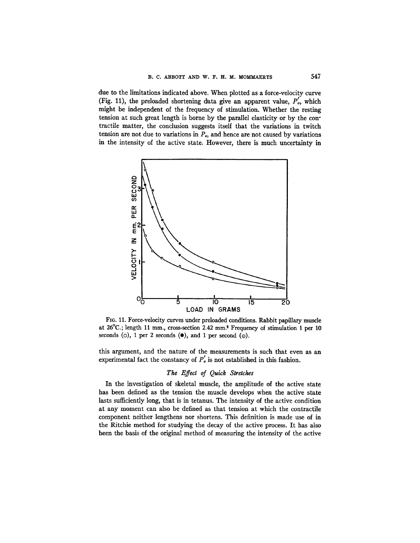due to the limitations indicated above. When plotted as a force-velocity curve (Fig. 11), the preloaded shortening data give an apparent value,  $P'_{o}$ , which might be independent of the frequency of stimulation. Whether the resting tension at such great length is borne by the parallel elasticity or by the contractile matter, the conclusion suggests itself that the variations in twitch tension are not due to variations in  $P<sub>o</sub>$ , and hence are not caused by variations in the intensity of the active state. However, there is much uncertainty in



FIG. 11. Force-velocity curves under preloaded conditions. Rabbit papillary muscle at  $26^{\circ}$ C.; length 11 mm., cross-section 2.42 mm.<sup>2</sup> Frequency of stimulation 1 per 10 seconds (o), 1 per 2 seconds  $(\bullet)$ , and 1 per second ( $\odot$ ).

this argument, and the nature of the measurements is such that even as an experimental fact the constancy of  $P'_{o}$  is not established in this fashion.

# *The Effect of Quick Stretches*

In the investigation of skeletal muscle, the amplitude of the active state has been defined as the tension the muscle develops when the active state lasts sufficiently long, that is in tetanus. The intensity of the active condition at any moment can also be defined as that tension at which the contractile component neither lengthens nor shortens. This definition is made use of in the Ritchie method for studying the decay of the active process. It has also been the basis of the original method of measuring the intensity of the active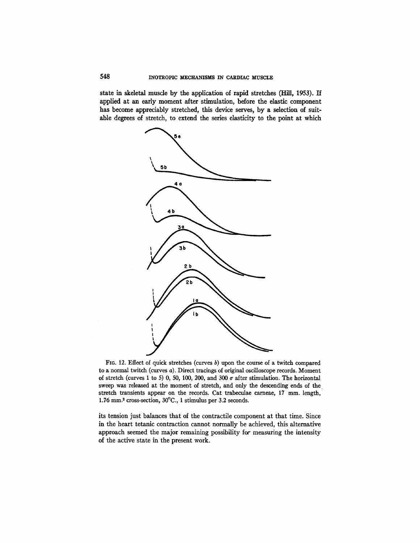state in skeletal muscle by the application of rapid stretches (Hill, 1953). If applied at an early moment after stimulation, before the elastic component has become appreciably stretched, this device serves, by a selection of suitable degrees of stretch, to extend the series elasticity to the point at which



FIG. 12. Effect of quick stretches (curves  $b$ ) upon the course of a twitch compared to a normal twitch (curves a). Direct tracings of original oscilloscope records. Moment of stretch (curves 1 to 5) 0, 50, 100, 200, and 300  $\sigma$  after stimulation. The horizontal sweep was released at the moment of stretch, and only the descending ends of the. stretch transients appear on the records. Cat trabeculae carneae, 17 mm. length, 1.76 mm.<sup>2</sup> cross-section,  $30^{\circ}$ C., 1 stimulus per 3.2 seconds.

its tension just balances that of the contractile component at that time. Since in the heart tetanic contraction cannot normally be achieved, this alternative approach seemed the major remaining possibility for measuring the intensity of the active state in the present work.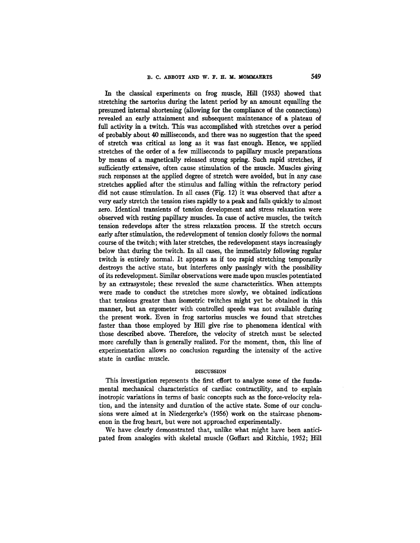In the classical experiments on frog muscle, Hill (1953) showed that stretching the sartorius during the latent period by an amount equalling the presumed internal shortening (allowing for the compliance of the connections) revealed an early attainment and subsequent maintenance of a plateau of full activity in a twitch. This was accomplished with stretches over a period of probably about 40 milliseconds, and there was no suggestion that the speed of stretch was critical as long as it was fast enough. Hence, we applied stretches of the order of a few milliseconds to papillary muscle preparations by means of a magnetically released strong spring. Such rapid stretches, if sufficiently extensive, often cause stimulation of the muscle. Muscles giving such responses at the applied degree of stretch were avoided, but in any case stretches applied after the stimulus and falling within the refractory period did not cause stimulation. In all cases (Fig. 12) it was observed that after a very early stretch the tension rises rapidly to a peak and falls quickly to almost zero. Identical transients of tension development and stress relaxation were observed with resting papillary muscles. In case of active muscles, the twitch tension redevelops after the stress relaxation process. If the stretch occurs early after stimulation, the redevelopment of tension closely follows the normal course of the twitch; with later stretches, the redevelopment stays increasingly below that during the twitch. In all cases, the immediately following regular twitch is entirely normal. It appears as if too rapid stretching temporarily destroys the active state, but interferes only passingiy with the possibility of its redevelopment. Similar observations were made upon muscles potentiated by an extrasystole; these revealed the same characteristics. When attempts were made to conduct the stretches more slowly, we obtained indications that tensions greater than isometric twitches might yet be obtained in this manner, but an ergometer with controlled speeds was not available during the present work. Even in frog sartorius muscles we found that stretches faster than those employed by Hill give rise to phenomena identical with those described above. Therefore, the velocity of stretch must be selected more carefully than is generally realized. For the moment, then, this line of experimentation allows no conclusion regarding the intensity of the active state in cardiac muscle.

#### DISCUSSION

This investigation represents the first effort to analyze some of the fundamental mechanical characteristics of cardiac contractility, and to explain inotropic variations in terms of basic concepts such as the force-velocity relation, and the intensity and duration of the active state. Some of our conclusions were aimed at in Niedergerke's (1956) work on the staircase phenomenon in the frog heart, but were not approached experimentally.

We have clearly demonstrated that, unlike what might have been anticipated from analogies with skeletal muscle (Goffart and Ritchie, 1952; Hill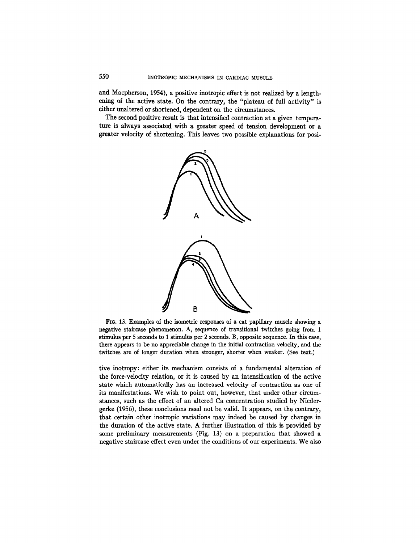and Macpherson, 1954), a positive inotropic effect is not realized by a lengthening of the active state. On the contrary, the "plateau of full activity" is either unaltered or shortened, dependent on the circumstances.

The second positive result is that intensified contraction at a given temperature is always associated with a greater speed of tension development or a greater velocity of shortening. This leaves two possible explanations for posi-



FIG. 13. Examples of the isometric responses of a cat papillary muscle showing a negative staircase phenomenon. A, sequence of transitional twitches going from 1 stimulus per 5 seconds to 1 stimulus per 2 seconds. B, opposite sequence. In this case, there appears to be no appreciable change in the initial contraction velocity, and the twitches are of longer duration when stronger, shorter when weaker. (See text.)

tive inotropy: either its mechanism consists of a fundamental alteration of the force-velocity relation, or it is caused by an intensification of the active state which automatically has an increased velocity of contraction as one of its manifestations. We wish to point out, however, that under other circumstances, such as the effect of an altered Ca concentration studied by Niedergerke (1956), these conclusions need not be valid. It appears, on the contrary, that certain other inotropic variations may indeed be caused by changes in the duration of the active state. A further illustration of this is provided by some preliminary measurements (Fig. 13) on a preparation that showed a negative staircase effect even under the conditions of our experiments. We also